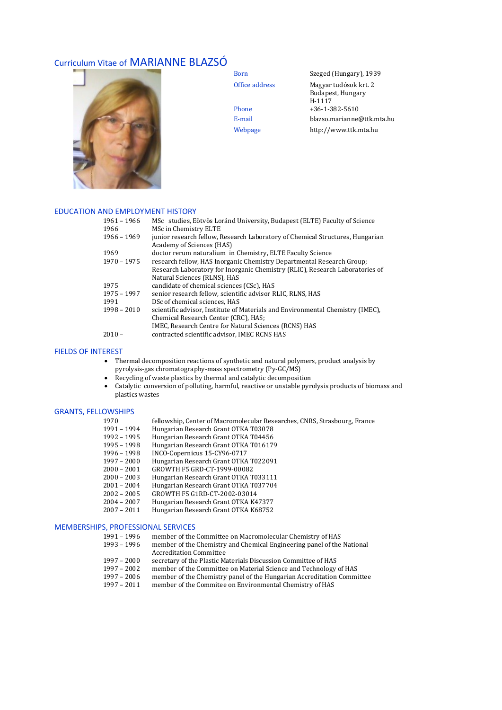# Curriculum Vitae of MARIANNE BLAZSÓ



Born Szeged (Hungary), 1939 Office address Magyar tudósok krt. 2 Budapest, Hungary H-1117 Phone  $+36-1-382-5610$ E-mail blazso.marianne@ttk.mta.hu Webpage http://www.ttk.mta.hu

#### EDUCATION AND EMPLOYMENT HISTORY

| 1961 - 1966   | MSc studies, Eötvös Loránd University, Budapest (ELTE) Faculty of Science      |
|---------------|--------------------------------------------------------------------------------|
| 1966          | MSc in Chemistry ELTE                                                          |
| $1966 - 1969$ | junior research fellow, Research Laboratory of Chemical Structures, Hungarian  |
|               | Academy of Sciences (HAS)                                                      |
| 1969          | doctor rerum naturalium in Chemistry, ELTE Faculty Science                     |
| 1970 - 1975   | research fellow, HAS Inorganic Chemistry Departmental Research Group;          |
|               | Research Laboratory for Inorganic Chemistry (RLIC), Research Laboratories of   |
|               | Natural Sciences (RLNS), HAS                                                   |
| 1975          | candidate of chemical sciences (CSc), HAS                                      |
| $1975 - 1997$ | senior research fellow, scientific advisor RLIC, RLNS, HAS                     |
| 1991          | DSc of chemical sciences. HAS                                                  |
| $1998 - 2010$ | scientific advisor, Institute of Materials and Environmental Chemistry (IMEC), |
|               | Chemical Research Center (CRC), HAS;                                           |
|               | IMEC, Research Centre for Natural Sciences (RCNS) HAS                          |
| $2010 -$      | contracted scientific advisor, IMEC RCNS HAS                                   |

#### FIELDS OF INTEREST

- Thermal decomposition reactions of synthetic and natural polymers, product analysis by pyrolysis-gas chromatography-mass spectrometry (Py-GC/MS)
- Recycling of waste plastics by thermal and catalytic decomposition
- Catalytic conversion of polluting, harmful, reactive or unstable pyrolysis products of biomass and plastics wastes

## GRANTS, FELLOWSHIPS

- 1970 fellowship, Center of Macromolecular Researches, CNRS, Strasbourg, France
- 1991 1994 Hungarian Research Grant OTKA T03078
- 1992 1995 Hungarian Research Grant OTKA T04456
- 1995 1998 Hungarian Research Grant OTKA T016179
- 1996 1998 INCO-Copernicus 15-CY96-0717
- 1997 2000 Hungarian Research Grant OTKA T022091
- 2000 2001 GROWTH F5 GRD-CT-1999-00082
- 2000 2003 Hungarian Research Grant OTKA T033111
- 2001 2004 Hungarian Research Grant OTKA T037704
- 2002 2005 GROWTH F5 G1RD-CT-2002-03014
- 2004 2007 Hungarian Research Grant OTKA K47377
- 2007 2011 Hungarian Research Grant OTKA K68752

## MEMBERSHIPS, PROFESSIONAL SERVICES

| member of the Committee on Macromolecular Chemistry of HAS             |
|------------------------------------------------------------------------|
| member of the Chemistry and Chemical Engineering panel of the National |
| <b>Accreditation Committee</b>                                         |
| secretary of the Plastic Materials Discussion Committee of HAS         |
| member of the Committee on Material Science and Technology of HAS      |
| member of the Chemistry panel of the Hungarian Accreditation Committee |
| member of the Commitee on Environmental Chemistry of HAS               |
|                                                                        |